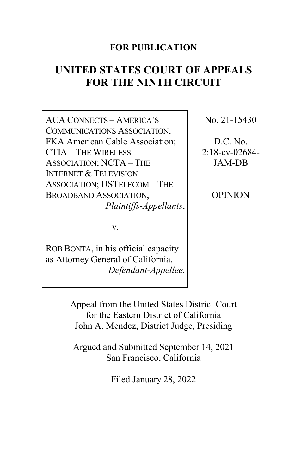## **FOR PUBLICATION**

# **UNITED STATES COURT OF APPEALS FOR THE NINTH CIRCUIT**

ACA CONNECTS – AMERICA'S COMMUNICATIONS ASSOCIATION, FKA American Cable Association; CTIA – THE WIRELESS ASSOCIATION; NCTA – THE INTERNET & TELEVISION ASSOCIATION; USTELECOM – THE BROADBAND ASSOCIATION, *Plaintiffs-Appellants*,

v.

ROB BONTA, in his official capacity as Attorney General of California, *Defendant-Appellee.* No. 21-15430

D.C. No. 2:18-cv-02684- JAM-DB

OPINION

Appeal from the United States District Court for the Eastern District of California John A. Mendez, District Judge, Presiding

Argued and Submitted September 14, 2021 San Francisco, California

Filed January 28, 2022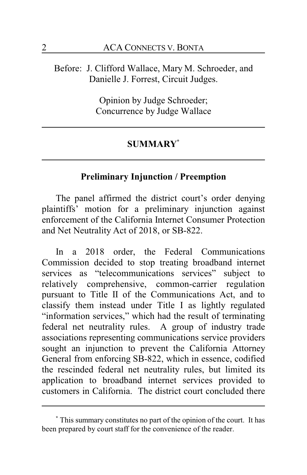## Before: J. Clifford Wallace, Mary M. Schroeder, and Danielle J. Forrest, Circuit Judges.

Opinion by Judge Schroeder; Concurrence by Judge Wallace

#### **SUMMARY\***

### **Preliminary Injunction / Preemption**

The panel affirmed the district court's order denying plaintiffs' motion for a preliminary injunction against enforcement of the California Internet Consumer Protection and Net Neutrality Act of 2018, or SB-822.

In a 2018 order, the Federal Communications Commission decided to stop treating broadband internet services as "telecommunications services" subject to relatively comprehensive, common-carrier regulation pursuant to Title II of the Communications Act, and to classify them instead under Title I as lightly regulated "information services," which had the result of terminating federal net neutrality rules. A group of industry trade associations representing communications service providers sought an injunction to prevent the California Attorney General from enforcing SB-822, which in essence, codified the rescinded federal net neutrality rules, but limited its application to broadband internet services provided to customers in California. The district court concluded there

**<sup>\*</sup>** This summary constitutes no part of the opinion of the court. It has been prepared by court staff for the convenience of the reader.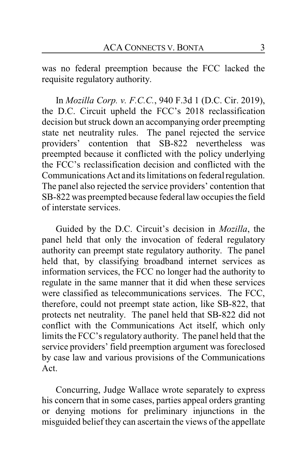was no federal preemption because the FCC lacked the requisite regulatory authority.

In *Mozilla Corp. v. F.C.C.*, 940 F.3d 1 (D.C. Cir. 2019), the D.C. Circuit upheld the FCC's 2018 reclassification decision but struck down an accompanying order preempting state net neutrality rules. The panel rejected the service providers' contention that SB-822 nevertheless was preempted because it conflicted with the policy underlying the FCC's reclassification decision and conflicted with the Communications Act and its limitations on federal regulation. The panel also rejected the service providers' contention that SB-822 was preempted because federal law occupies the field of interstate services.

Guided by the D.C. Circuit's decision in *Mozilla*, the panel held that only the invocation of federal regulatory authority can preempt state regulatory authority. The panel held that, by classifying broadband internet services as information services, the FCC no longer had the authority to regulate in the same manner that it did when these services were classified as telecommunications services. The FCC, therefore, could not preempt state action, like SB-822, that protects net neutrality. The panel held that SB-822 did not conflict with the Communications Act itself, which only limits the FCC's regulatory authority. The panel held that the service providers' field preemption argument was foreclosed by case law and various provisions of the Communications Act.

Concurring, Judge Wallace wrote separately to express his concern that in some cases, parties appeal orders granting or denying motions for preliminary injunctions in the misguided belief they can ascertain the views of the appellate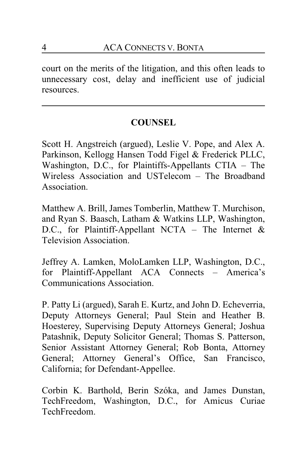court on the merits of the litigation, and this often leads to unnecessary cost, delay and inefficient use of judicial resources.

## **COUNSEL**

Scott H. Angstreich (argued), Leslie V. Pope, and Alex A. Parkinson, Kellogg Hansen Todd Figel & Frederick PLLC, Washington, D.C., for Plaintiffs-Appellants CTIA – The Wireless Association and USTelecom – The Broadband Association.

Matthew A. Brill, James Tomberlin, Matthew T. Murchison, and Ryan S. Baasch, Latham & Watkins LLP, Washington, D.C., for Plaintiff-Appellant NCTA – The Internet  $\&$ Television Association.

Jeffrey A. Lamken, MoloLamken LLP, Washington, D.C., for Plaintiff-Appellant ACA Connects – America's Communications Association.

P. Patty Li (argued), Sarah E. Kurtz, and John D. Echeverria, Deputy Attorneys General; Paul Stein and Heather B. Hoesterey, Supervising Deputy Attorneys General; Joshua Patashnik, Deputy Solicitor General; Thomas S. Patterson, Senior Assistant Attorney General; Rob Bonta, Attorney General; Attorney General's Office, San Francisco, California; for Defendant-Appellee.

Corbin K. Barthold, Berin Szóka, and James Dunstan, TechFreedom, Washington, D.C., for Amicus Curiae TechFreedom.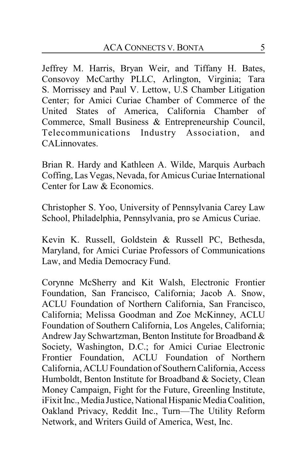Jeffrey M. Harris, Bryan Weir, and Tiffany H. Bates, Consovoy McCarthy PLLC, Arlington, Virginia; Tara S. Morrissey and Paul V. Lettow, U.S Chamber Litigation Center; for Amici Curiae Chamber of Commerce of the United States of America, California Chamber of Commerce, Small Business & Entrepreneurship Council, Telecommunications Industry Association, and CALinnovates.

Brian R. Hardy and Kathleen A. Wilde, Marquis Aurbach Coffing, Las Vegas, Nevada, for Amicus Curiae International Center for Law & Economics.

Christopher S. Yoo, University of Pennsylvania Carey Law School, Philadelphia, Pennsylvania, pro se Amicus Curiae.

Kevin K. Russell, Goldstein & Russell PC, Bethesda, Maryland, for Amici Curiae Professors of Communications Law, and Media Democracy Fund.

Corynne McSherry and Kit Walsh, Electronic Frontier Foundation, San Francisco, California; Jacob A. Snow, ACLU Foundation of Northern California, San Francisco, California; Melissa Goodman and Zoe McKinney, ACLU Foundation of Southern California, Los Angeles, California; Andrew Jay Schwartzman, Benton Institute for Broadband & Society, Washington, D.C.; for Amici Curiae Electronic Frontier Foundation, ACLU Foundation of Northern California, ACLU Foundation of Southern California, Access Humboldt, Benton Institute for Broadband & Society, Clean Money Campaign, Fight for the Future, Greenling Institute, iFixit Inc., Media Justice, National Hispanic Media Coalition, Oakland Privacy, Reddit Inc., Turn—The Utility Reform Network, and Writers Guild of America, West, Inc.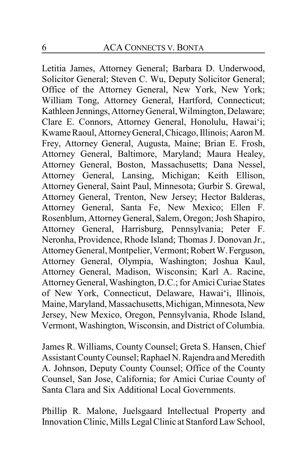Letitia James, Attorney General; Barbara D. Underwood, Solicitor General; Steven C. Wu, Deputy Solicitor General; Office of the Attorney General, New York, New York; William Tong, Attorney General, Hartford, Connecticut; Kathleen Jennings, AttorneyGeneral, Wilmington, Delaware; Clare E. Connors, Attorney General, Honolulu, Hawai'i; Kwame Raoul, AttorneyGeneral, Chicago, Illinois; Aaron M. Frey, Attorney General, Augusta, Maine; Brian E. Frosh, Attorney General, Baltimore, Maryland; Maura Healey, Attorney General, Boston, Massachusetts; Dana Nessel, Attorney General, Lansing, Michigan; Keith Ellison, Attorney General, Saint Paul, Minnesota; Gurbir S. Grewal, Attorney General, Trenton, New Jersey; Hector Balderas, Attorney General, Santa Fe, New Mexico; Ellen F. Rosenblum, Attorney General, Salem, Oregon; Josh Shapiro, Attorney General, Harrisburg, Pennsylvania; Peter F. Neronha, Providence, Rhode Island; Thomas J. Donovan Jr., AttorneyGeneral, Montpelier, Vermont; RobertW. Ferguson, Attorney General, Olympia, Washington; Joshua Kaul, Attorney General, Madison, Wisconsin; Karl A. Racine, AttorneyGeneral, Washington, D.C.; for Amici Curiae States of New York, Connecticut, Delaware, Hawai'i, Illinois, Maine, Maryland, Massachusetts, Michigan, Minnesota, New Jersey, New Mexico, Oregon, Pennsylvania, Rhode Island, Vermont, Washington, Wisconsin, and District of Columbia.

James R. Williams, County Counsel; Greta S. Hansen, Chief Assistant County Counsel; Raphael N. Rajendra and Meredith A. Johnson, Deputy County Counsel; Office of the County Counsel, San Jose, California; for Amici Curiae County of Santa Clara and Six Additional Local Governments.

Phillip R. Malone, Juelsgaard Intellectual Property and Innovation Clinic, Mills Legal Clinic at Stanford Law School,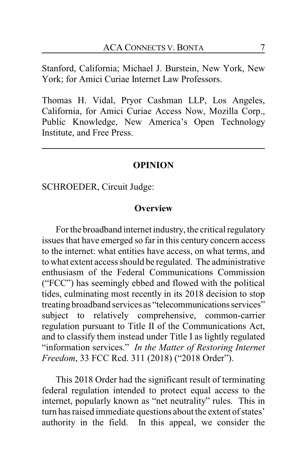Stanford, California; Michael J. Burstein, New York, New York; for Amici Curiae Internet Law Professors.

Thomas H. Vidal, Pryor Cashman LLP, Los Angeles, California, for Amici Curiae Access Now, Mozilla Corp., Public Knowledge, New America's Open Technology Institute, and Free Press.

#### **OPINION**

SCHROEDER, Circuit Judge:

#### **Overview**

For the broadband internet industry, the critical regulatory issues that have emerged so far in this century concern access to the internet: what entities have access, on what terms, and to what extent access should be regulated. The administrative enthusiasm of the Federal Communications Commission ("FCC") has seemingly ebbed and flowed with the political tides, culminating most recently in its 2018 decision to stop treating broadband services as "telecommunications services" subject to relatively comprehensive, common-carrier regulation pursuant to Title II of the Communications Act, and to classify them instead under Title I as lightly regulated "information services." *In the Matter of Restoring Internet Freedom*, 33 FCC Rcd. 311 (2018) ("2018 Order").

This 2018 Order had the significant result of terminating federal regulation intended to protect equal access to the internet, popularly known as "net neutrality" rules. This in turn has raised immediate questions about the extent of states' authority in the field. In this appeal, we consider the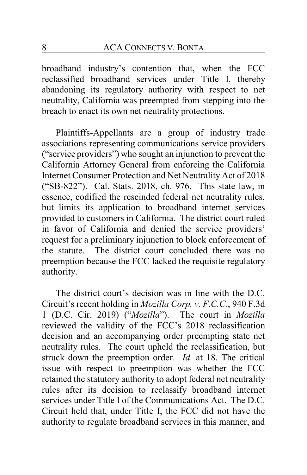broadband industry's contention that, when the FCC reclassified broadband services under Title I, thereby abandoning its regulatory authority with respect to net neutrality, California was preempted from stepping into the breach to enact its own net neutrality protections.

Plaintiffs-Appellants are a group of industry trade associations representing communications service providers ("service providers") who sought an injunction to prevent the California Attorney General from enforcing the California Internet Consumer Protection and Net Neutrality Act of 2018 ("SB-822"). Cal. Stats. 2018, ch. 976. This state law, in essence, codified the rescinded federal net neutrality rules, but limits its application to broadband internet services provided to customers in California. The district court ruled in favor of California and denied the service providers' request for a preliminary injunction to block enforcement of the statute. The district court concluded there was no preemption because the FCC lacked the requisite regulatory authority.

The district court's decision was in line with the D.C. Circuit's recent holding in *Mozilla Corp. v. F.C.C.*, 940 F.3d 1 (D.C. Cir. 2019) ("*Mozilla*"). The court in *Mozilla* reviewed the validity of the FCC's 2018 reclassification decision and an accompanying order preempting state net neutrality rules. The court upheld the reclassification, but struck down the preemption order. *Id.* at 18. The critical issue with respect to preemption was whether the FCC retained the statutory authority to adopt federal net neutrality rules after its decision to reclassify broadband internet services under Title I of the Communications Act. The D.C. Circuit held that, under Title I, the FCC did not have the authority to regulate broadband services in this manner, and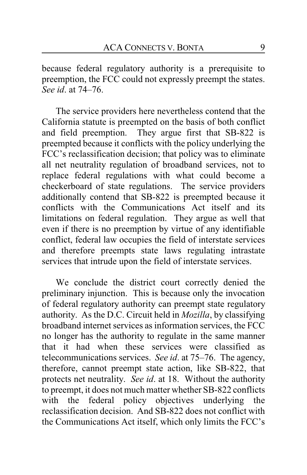because federal regulatory authority is a prerequisite to preemption, the FCC could not expressly preempt the states. *See id*. at 74–76.

The service providers here nevertheless contend that the California statute is preempted on the basis of both conflict and field preemption. They argue first that SB-822 is preempted because it conflicts with the policy underlying the FCC's reclassification decision; that policy was to eliminate all net neutrality regulation of broadband services, not to replace federal regulations with what could become a checkerboard of state regulations. The service providers additionally contend that SB-822 is preempted because it conflicts with the Communications Act itself and its limitations on federal regulation. They argue as well that even if there is no preemption by virtue of any identifiable conflict, federal law occupies the field of interstate services and therefore preempts state laws regulating intrastate services that intrude upon the field of interstate services.

We conclude the district court correctly denied the preliminary injunction. This is because only the invocation of federal regulatory authority can preempt state regulatory authority. As the D.C. Circuit held in *Mozilla*, by classifying broadband internet services as information services, the FCC no longer has the authority to regulate in the same manner that it had when these services were classified as telecommunications services. *See id*. at 75–76. The agency, therefore, cannot preempt state action, like SB-822, that protects net neutrality. *See id*. at 18. Without the authority to preempt, it does not much matter whether SB-822 conflicts with the federal policy objectives underlying the reclassification decision. And SB-822 does not conflict with the Communications Act itself, which only limits the FCC's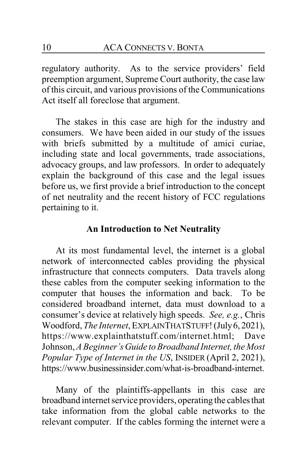regulatory authority. As to the service providers' field preemption argument, Supreme Court authority, the case law of this circuit, and various provisions of the Communications Act itself all foreclose that argument.

The stakes in this case are high for the industry and consumers. We have been aided in our study of the issues with briefs submitted by a multitude of amici curiae, including state and local governments, trade associations, advocacy groups, and law professors. In order to adequately explain the background of this case and the legal issues before us, we first provide a brief introduction to the concept of net neutrality and the recent history of FCC regulations pertaining to it.

#### **An Introduction to Net Neutrality**

At its most fundamental level, the internet is a global network of interconnected cables providing the physical infrastructure that connects computers. Data travels along these cables from the computer seeking information to the computer that houses the information and back. To be considered broadband internet, data must download to a consumer's device at relatively high speeds. *See, e.g.*, Chris Woodford, *The Internet*, EXPLAINTHATSTUFF! (July6, 2021), https://www.explainthatstuff.com/internet.html; Dave Johnson, *A Beginner'sGuide to Broadband Internet, the Most Popular Type of Internet in the US*, INSIDER (April 2, 2021), https://www.businessinsider.com/what-is-broadband-internet.

Many of the plaintiffs-appellants in this case are broadband internet service providers, operating the cablesthat take information from the global cable networks to the relevant computer. If the cables forming the internet were a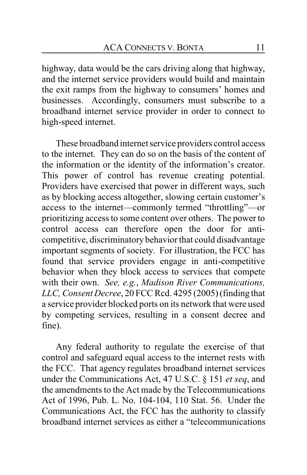highway, data would be the cars driving along that highway, and the internet service providers would build and maintain the exit ramps from the highway to consumers' homes and businesses. Accordingly, consumers must subscribe to a broadband internet service provider in order to connect to high-speed internet.

These broadband internet service providers control access to the internet. They can do so on the basis of the content of the information or the identity of the information's creator. This power of control has revenue creating potential. Providers have exercised that power in different ways, such as by blocking access altogether, slowing certain customer's access to the internet—commonly termed "throttling"—or prioritizing access to some content over others. The power to control access can therefore open the door for anticompetitive, discriminatory behavior that could disadvantage important segments of society. For illustration, the FCC has found that service providers engage in anti-competitive behavior when they block access to services that compete with their own. *See, e.g.*, *Madison River Communications, LLC, Consent Decree*, 20 FCC Rcd. 4295 (2005) (finding that a service provider blocked ports on its network that were used by competing services, resulting in a consent decree and fine).

Any federal authority to regulate the exercise of that control and safeguard equal access to the internet rests with the FCC. That agency regulates broadband internet services under the Communications Act, 47 U.S.C. § 151 *et seq*, and the amendments to the Act made by the Telecommunications Act of 1996, Pub. L. No. 104-104, 110 Stat. 56. Under the Communications Act, the FCC has the authority to classify broadband internet services as either a "telecommunications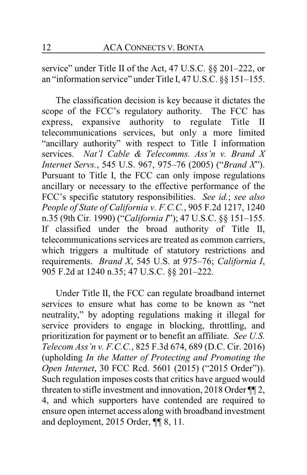service" under Title II of the Act, 47 U.S.C. §§ 201–222, or an "information service" under Title I, 47 U.S.C. §§ 151–155.

The classification decision is key because it dictates the scope of the FCC's regulatory authority. The FCC has express, expansive authority to regulate Title II telecommunications services, but only a more limited "ancillary authority" with respect to Title I information services. *Nat'l Cable & Telecomms. Ass'n v. Brand X Internet Servs.*, 545 U.S. 967, 975–76 (2005) ("*Brand X*"). Pursuant to Title I, the FCC can only impose regulations ancillary or necessary to the effective performance of the FCC's specific statutory responsibilities. *See id.*; *see also People of State of California v. F.C.C.*, 905 F.2d 1217, 1240 n.35 (9th Cir. 1990) ("*California I*"); 47 U.S.C. §§ 151–155. If classified under the broad authority of Title II, telecommunications services are treated as common carriers, which triggers a multitude of statutory restrictions and requirements. *Brand X*, 545 U.S. at 975–76; *California I*, 905 F.2d at 1240 n.35; 47 U.S.C. §§ 201–222.

Under Title II, the FCC can regulate broadband internet services to ensure what has come to be known as "net neutrality," by adopting regulations making it illegal for service providers to engage in blocking, throttling, and prioritization for payment or to benefit an affiliate. *See U.S. Telecom Ass'n v. F.C.C.*, 825 F.3d 674, 689 (D.C. Cir. 2016) (upholding *In the Matter of Protecting and Promoting the Open Internet*, 30 FCC Rcd. 5601 (2015) ("2015 Order")). Such regulation imposes costs that critics have argued would threaten to stifle investment and innovation, 2018 Order ¶¶ 2, 4, and which supporters have contended are required to ensure open internet access along with broadband investment and deployment, 2015 Order, ¶¶ 8, 11.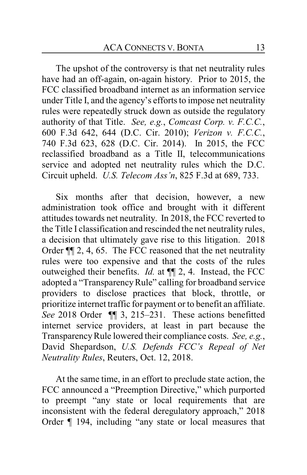The upshot of the controversy is that net neutrality rules have had an off-again, on-again history. Prior to 2015, the FCC classified broadband internet as an information service under Title I, and the agency's efforts to impose net neutrality rules were repeatedly struck down as outside the regulatory authority of that Title. *See, e.g.*, *Comcast Corp. v. F.C.C.*, 600 F.3d 642, 644 (D.C. Cir. 2010); *Verizon v. F.C.C.*, 740 F.3d 623, 628 (D.C. Cir. 2014). In 2015, the FCC reclassified broadband as a Title II, telecommunications service and adopted net neutrality rules which the D.C. Circuit upheld. *U.S. Telecom Ass'n*, 825 F.3d at 689, 733.

Six months after that decision, however, a new administration took office and brought with it different attitudes towards net neutrality. In 2018, the FCC reverted to the Title I classification and rescinded the net neutrality rules, a decision that ultimately gave rise to this litigation. 2018 Order ¶¶ 2, 4, 65. The FCC reasoned that the net neutrality rules were too expensive and that the costs of the rules outweighed their benefits. *Id.* at ¶¶ 2, 4. Instead, the FCC adopted a "TransparencyRule" calling for broadband service providers to disclose practices that block, throttle, or prioritize internet traffic for payment or to benefit an affiliate. *See* 2018 Order ¶¶ 3, 215–231. These actions benefitted internet service providers, at least in part because the TransparencyRule lowered their compliance costs. *See, e.g.*, David Shepardson, *U.S. Defends FCC's Repeal of Net Neutrality Rules*, Reuters, Oct. 12, 2018.

At the same time, in an effort to preclude state action, the FCC announced a "Preemption Directive," which purported to preempt "any state or local requirements that are inconsistent with the federal deregulatory approach," 2018 Order ¶ 194, including "any state or local measures that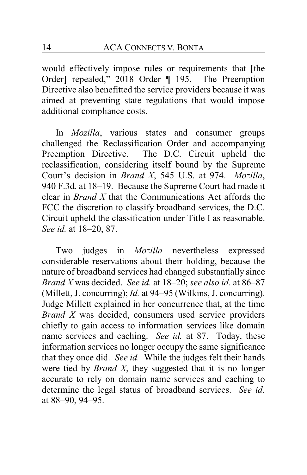would effectively impose rules or requirements that [the Order] repealed," 2018 Order ¶ 195. The Preemption Directive also benefitted the service providers because it was aimed at preventing state regulations that would impose additional compliance costs.

In *Mozilla*, various states and consumer groups challenged the Reclassification Order and accompanying Preemption Directive. The D.C. Circuit upheld the reclassification, considering itself bound by the Supreme Court's decision in *Brand X*, 545 U.S. at 974. *Mozilla*, 940 F.3d. at 18–19. Because the Supreme Court had made it clear in *Brand X* that the Communications Act affords the FCC the discretion to classify broadband services, the D.C. Circuit upheld the classification under Title I as reasonable. *See id.* at 18–20, 87.

Two judges in *Mozilla* nevertheless expressed considerable reservations about their holding, because the nature of broadband services had changed substantially since *Brand X* was decided. *See id.* at 18–20; *see also id*. at 86–87 (Millett, J. concurring); *Id.* at 94–95 (Wilkins, J. concurring). Judge Millett explained in her concurrence that, at the time *Brand X* was decided, consumers used service providers chiefly to gain access to information services like domain name services and caching. *See id.* at 87. Today, these information services no longer occupy the same significance that they once did. *See id.* While the judges felt their hands were tied by *Brand X*, they suggested that it is no longer accurate to rely on domain name services and caching to determine the legal status of broadband services. *See id*. at 88–90, 94–95.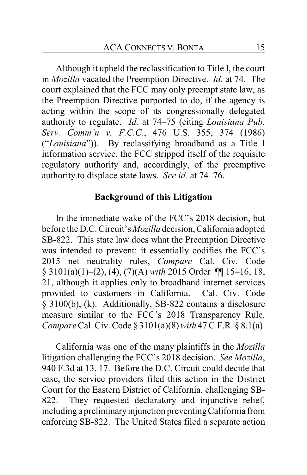Although it upheld the reclassification to Title I, the court in *Mozilla* vacated the Preemption Directive. *Id.* at 74. The court explained that the FCC may only preempt state law, as the Preemption Directive purported to do, if the agency is acting within the scope of its congressionally delegated authority to regulate. *Id.* at 74–75 (citing *Louisiana Pub. Serv. Comm'n v. F.C.C.*, 476 U.S. 355, 374 (1986) ("*Louisiana*")). By reclassifying broadband as a Title I information service, the FCC stripped itself of the requisite regulatory authority and, accordingly, of the preemptive authority to displace state laws. *See id.* at 74–76.

#### **Background of this Litigation**

In the immediate wake of the FCC's 2018 decision, but before the D.C. Circuit's *Mozilla* decision, California adopted SB-822. This state law does what the Preemption Directive was intended to prevent: it essentially codifies the FCC's 2015 net neutrality rules, *Compare* Cal. Civ. Code § 3101(a)(1)–(2), (4), (7)(A) *with* 2015 Order ¶¶ 15–16, 18, 21, although it applies only to broadband internet services provided to customers in California. Cal. Civ. Code § 3100(b), (k). Additionally, SB-822 contains a disclosure measure similar to the FCC's 2018 Transparency Rule. *Compare* Cal. Civ. Code § 3101(a)(8) *with* 47 C.F.R. § 8.1(a).

California was one of the many plaintiffs in the *Mozilla* litigation challenging the FCC's 2018 decision. *See Mozilla*, 940 F.3d at 13, 17. Before the D.C. Circuit could decide that case, the service providers filed this action in the District Court for the Eastern District of California, challenging SB-822. They requested declaratory and injunctive relief, including a preliminary injunction preventing California from enforcing SB-822. The United States filed a separate action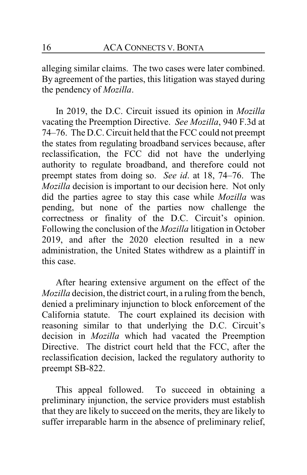alleging similar claims. The two cases were later combined. By agreement of the parties, this litigation was stayed during the pendency of *Mozilla*.

In 2019, the D.C. Circuit issued its opinion in *Mozilla* vacating the Preemption Directive. *See Mozilla*, 940 F.3d at 74–76. The D.C. Circuit held that the FCC could not preempt the states from regulating broadband services because, after reclassification, the FCC did not have the underlying authority to regulate broadband, and therefore could not preempt states from doing so. *See id*. at 18, 74–76. The *Mozilla* decision is important to our decision here. Not only did the parties agree to stay this case while *Mozilla* was pending, but none of the parties now challenge the correctness or finality of the D.C. Circuit's opinion. Following the conclusion of the *Mozilla* litigation in October 2019, and after the 2020 election resulted in a new administration, the United States withdrew as a plaintiff in this case.

After hearing extensive argument on the effect of the *Mozilla* decision, the district court, in a ruling from the bench, denied a preliminary injunction to block enforcement of the California statute. The court explained its decision with reasoning similar to that underlying the D.C. Circuit's decision in *Mozilla* which had vacated the Preemption Directive. The district court held that the FCC, after the reclassification decision, lacked the regulatory authority to preempt SB-822.

This appeal followed. To succeed in obtaining a preliminary injunction, the service providers must establish that they are likely to succeed on the merits, they are likely to suffer irreparable harm in the absence of preliminary relief,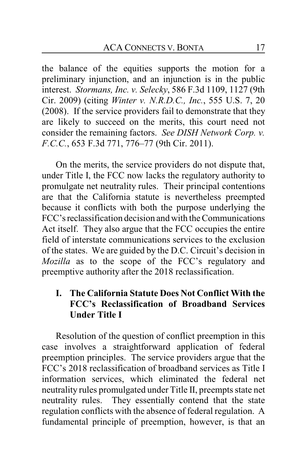the balance of the equities supports the motion for a preliminary injunction, and an injunction is in the public interest. *Stormans, Inc. v. Selecky*, 586 F.3d 1109, 1127 (9th Cir. 2009) (citing *Winter v. N.R.D.C., Inc.*, 555 U.S. 7, 20 (2008). If the service providers fail to demonstrate that they are likely to succeed on the merits, this court need not consider the remaining factors. *See DISH Network Corp. v. F.C.C.*, 653 F.3d 771, 776–77 (9th Cir. 2011).

On the merits, the service providers do not dispute that, under Title I, the FCC now lacks the regulatory authority to promulgate net neutrality rules. Their principal contentions are that the California statute is nevertheless preempted because it conflicts with both the purpose underlying the FCC'sreclassification decision and with the Communications Act itself. They also argue that the FCC occupies the entire field of interstate communications services to the exclusion of the states. We are guided by the D.C. Circuit's decision in *Mozilla* as to the scope of the FCC's regulatory and preemptive authority after the 2018 reclassification.

## **I. The California Statute Does Not Conflict With the FCC's Reclassification of Broadband Services Under Title I**

Resolution of the question of conflict preemption in this case involves a straightforward application of federal preemption principles. The service providers argue that the FCC's 2018 reclassification of broadband services as Title I information services, which eliminated the federal net neutrality rules promulgated under Title II, preempts state net neutrality rules. They essentially contend that the state regulation conflicts with the absence of federal regulation. A fundamental principle of preemption, however, is that an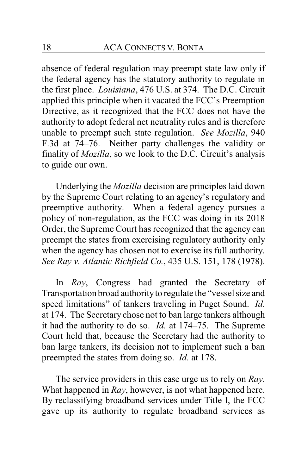absence of federal regulation may preempt state law only if the federal agency has the statutory authority to regulate in the first place. *Louisiana*, 476 U.S. at 374. The D.C. Circuit applied this principle when it vacated the FCC's Preemption Directive, as it recognized that the FCC does not have the authority to adopt federal net neutrality rules and is therefore unable to preempt such state regulation. *See Mozilla*, 940 F.3d at 74–76. Neither party challenges the validity or finality of *Mozilla*, so we look to the D.C. Circuit's analysis to guide our own.

Underlying the *Mozilla* decision are principles laid down by the Supreme Court relating to an agency's regulatory and preemptive authority. When a federal agency pursues a policy of non-regulation, as the FCC was doing in its 2018 Order, the Supreme Court has recognized that the agency can preempt the states from exercising regulatory authority only when the agency has chosen not to exercise its full authority. *See Ray v. Atlantic Richfield Co.*, 435 U.S. 151, 178 (1978).

In *Ray*, Congress had granted the Secretary of Transportation broad authorityto regulate the "vessel size and speed limitations" of tankers traveling in Puget Sound. *Id*. at 174. The Secretary chose not to ban large tankers although it had the authority to do so. *Id.* at 174–75. The Supreme Court held that, because the Secretary had the authority to ban large tankers, its decision not to implement such a ban preempted the states from doing so. *Id.* at 178.

The service providers in this case urge us to rely on *Ray*. What happened in *Ray*, however, is not what happened here. By reclassifying broadband services under Title I, the FCC gave up its authority to regulate broadband services as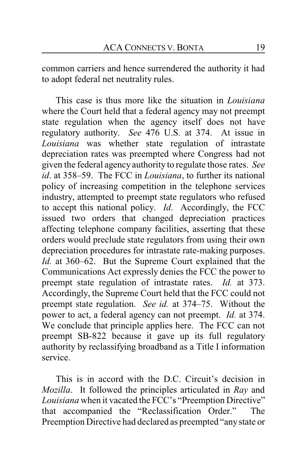common carriers and hence surrendered the authority it had to adopt federal net neutrality rules.

This case is thus more like the situation in *Louisiana* where the Court held that a federal agency may not preempt state regulation when the agency itself does not have regulatory authority. *See* 476 U.S. at 374. At issue in *Louisiana* was whether state regulation of intrastate depreciation rates was preempted where Congress had not given the federal agency authority to regulate those rates. *See id*. at 358–59. The FCC in *Louisiana*, to further its national policy of increasing competition in the telephone services industry, attempted to preempt state regulators who refused to accept this national policy. *Id*. Accordingly, the FCC issued two orders that changed depreciation practices affecting telephone company facilities, asserting that these orders would preclude state regulators from using their own depreciation procedures for intrastate rate-making purposes. *Id.* at 360–62. But the Supreme Court explained that the Communications Act expressly denies the FCC the power to preempt state regulation of intrastate rates. *Id.* at 373. Accordingly, the Supreme Court held that the FCC could not preempt state regulation. *See id.* at 374–75. Without the power to act, a federal agency can not preempt. *Id.* at 374. We conclude that principle applies here. The FCC can not preempt SB-822 because it gave up its full regulatory authority by reclassifying broadband as a Title I information service.

This is in accord with the D.C. Circuit's decision in *Mozilla*. It followed the principles articulated in *Ray* and *Louisiana* when it vacated the FCC's "Preemption Directive" that accompanied the "Reclassification Order." The Preemption Directive had declared as preempted "anystate or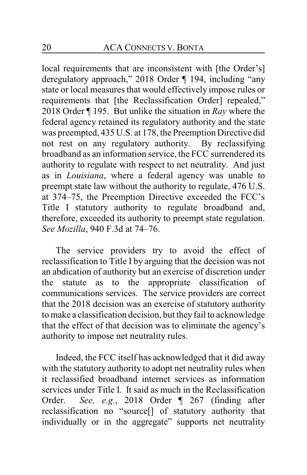local requirements that are inconsistent with [the Order's] deregulatory approach," 2018 Order ¶ 194, including "any state or local measures that would effectively impose rules or requirements that [the Reclassification Order] repealed," 2018 Order ¶ 195. But unlike the situation in *Ray* where the federal agency retained its regulatory authority and the state was preempted, 435 U.S. at 178, the Preemption Directive did not rest on any regulatory authority. By reclassifying broadband as an information service, the FCC surrendered its authority to regulate with respect to net neutrality. And just as in *Louisiana*, where a federal agency was unable to preempt state law without the authority to regulate, 476 U.S. at 374–75, the Preemption Directive exceeded the FCC's Title I statutory authority to regulate broadband and, therefore, exceeded its authority to preempt state regulation. *See Mozilla*, 940 F.3d at 74–76.

The service providers try to avoid the effect of reclassification to Title I by arguing that the decision was not an abdication of authority but an exercise of discretion under the statute as to the appropriate classification of communications services. The service providers are correct that the 2018 decision was an exercise of statutory authority to make a classification decision, but they fail to acknowledge that the effect of that decision was to eliminate the agency's authority to impose net neutrality rules.

Indeed, the FCC itself has acknowledged that it did away with the statutory authority to adopt net neutrality rules when it reclassified broadband internet services as information services under Title I. It said as much in the Reclassification Order. *See, e.g.*, 2018 Order ¶ 267 (finding after reclassification no "source[] of statutory authority that individually or in the aggregate" supports net neutrality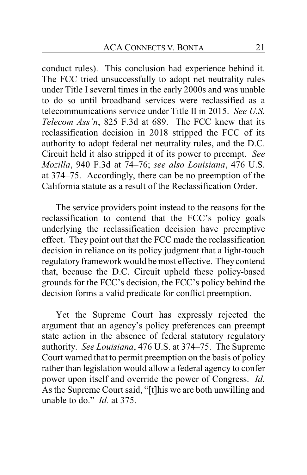conduct rules). This conclusion had experience behind it. The FCC tried unsuccessfully to adopt net neutrality rules under Title I several times in the early 2000s and was unable to do so until broadband services were reclassified as a telecommunications service under Title II in 2015. *See U.S. Telecom Ass'n*, 825 F.3d at 689. The FCC knew that its reclassification decision in 2018 stripped the FCC of its authority to adopt federal net neutrality rules, and the D.C. Circuit held it also stripped it of its power to preempt. *See Mozilla*, 940 F.3d at 74–76; *see also Louisiana*, 476 U.S. at 374–75. Accordingly, there can be no preemption of the California statute as a result of the Reclassification Order.

The service providers point instead to the reasons for the reclassification to contend that the FCC's policy goals underlying the reclassification decision have preemptive effect. They point out that the FCC made the reclassification decision in reliance on its policy judgment that a light-touch regulatory framework would be most effective. Theycontend that, because the D.C. Circuit upheld these policy-based grounds for the FCC's decision, the FCC's policy behind the decision forms a valid predicate for conflict preemption.

Yet the Supreme Court has expressly rejected the argument that an agency's policy preferences can preempt state action in the absence of federal statutory regulatory authority. *See Louisiana*, 476 U.S. at 374–75. The Supreme Court warned that to permit preemption on the basis of policy rather than legislation would allow a federal agency to confer power upon itself and override the power of Congress. *Id.*  As the Supreme Court said, "[t]his we are both unwilling and unable to do." *Id.* at 375.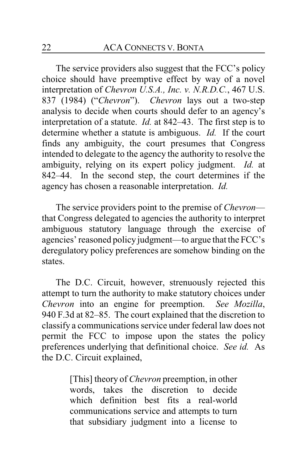The service providers also suggest that the FCC's policy choice should have preemptive effect by way of a novel interpretation of *Chevron U.S.A., Inc. v. N.R.D.C.*, 467 U.S. 837 (1984) ("*Chevron*"). *Chevron* lays out a two-step analysis to decide when courts should defer to an agency's interpretation of a statute. *Id.* at 842–43. The first step is to determine whether a statute is ambiguous. *Id.* If the court finds any ambiguity, the court presumes that Congress intended to delegate to the agency the authority to resolve the ambiguity, relying on its expert policy judgment. *Id.* at 842–44. In the second step, the court determines if the agency has chosen a reasonable interpretation. *Id.*

The service providers point to the premise of *Chevron* that Congress delegated to agencies the authority to interpret ambiguous statutory language through the exercise of agencies' reasoned policy judgment—to argue that the FCC's deregulatory policy preferences are somehow binding on the states.

The D.C. Circuit, however, strenuously rejected this attempt to turn the authority to make statutory choices under *Chevron* into an engine for preemption. *See Mozilla*, 940 F.3d at 82–85. The court explained that the discretion to classify a communications service under federal law does not permit the FCC to impose upon the states the policy preferences underlying that definitional choice. *See id.* As the D.C. Circuit explained,

> [This] theory of *Chevron* preemption, in other words, takes the discretion to decide which definition best fits a real-world communications service and attempts to turn that subsidiary judgment into a license to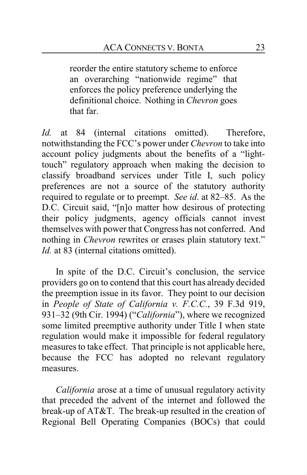reorder the entire statutory scheme to enforce an overarching "nationwide regime" that enforces the policy preference underlying the definitional choice. Nothing in *Chevron* goes that far.

*Id.* at 84 (internal citations omitted). Therefore, notwithstanding the FCC's power under *Chevron* to take into account policy judgments about the benefits of a "lighttouch" regulatory approach when making the decision to classify broadband services under Title I, such policy preferences are not a source of the statutory authority required to regulate or to preempt. *See id*. at 82–85. As the D.C. Circuit said, "[n]o matter how desirous of protecting their policy judgments, agency officials cannot invest themselves with power that Congress has not conferred. And nothing in *Chevron* rewrites or erases plain statutory text." *Id.* at 83 (internal citations omitted).

In spite of the D.C. Circuit's conclusion, the service providers go on to contend that this court has already decided the preemption issue in its favor. They point to our decision in *People of State of California v. F.C.C.*, 39 F.3d 919, 931–32 (9th Cir. 1994) ("*California*"), where we recognized some limited preemptive authority under Title I when state regulation would make it impossible for federal regulatory measures to take effect. That principle is not applicable here, because the FCC has adopted no relevant regulatory measures.

*California* arose at a time of unusual regulatory activity that preceded the advent of the internet and followed the break-up of AT&T. The break-up resulted in the creation of Regional Bell Operating Companies (BOCs) that could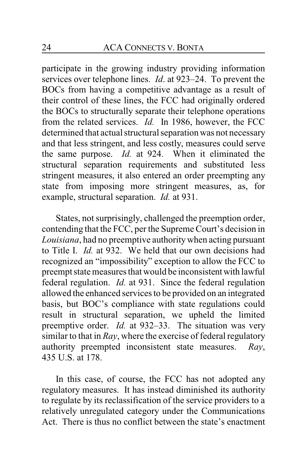participate in the growing industry providing information services over telephone lines. *Id*. at 923–24. To prevent the BOCs from having a competitive advantage as a result of their control of these lines, the FCC had originally ordered the BOCs to structurally separate their telephone operations from the related services. *Id.* In 1986, however, the FCC determined that actual structural separation was not necessary and that less stringent, and less costly, measures could serve the same purpose. *Id.* at 924. When it eliminated the structural separation requirements and substituted less stringent measures, it also entered an order preempting any state from imposing more stringent measures, as, for example, structural separation. *Id.* at 931.

States, not surprisingly, challenged the preemption order, contending that the FCC, per the Supreme Court's decision in *Louisiana*, had no preemptive authoritywhen acting pursuant to Title I. *Id.* at 932. We held that our own decisions had recognized an "impossibility" exception to allow the FCC to preempt state measures that would be inconsistentwith lawful federal regulation. *Id.* at 931. Since the federal regulation allowed the enhanced services to be provided on an integrated basis, but BOC's compliance with state regulations could result in structural separation, we upheld the limited preemptive order. *Id.* at 932–33. The situation was very similar to that in *Ray*, where the exercise of federal regulatory authority preempted inconsistent state measures. *Ray*, 435 U.S. at 178.

In this case, of course, the FCC has not adopted any regulatory measures. It has instead diminished its authority to regulate by its reclassification of the service providers to a relatively unregulated category under the Communications Act. There is thus no conflict between the state's enactment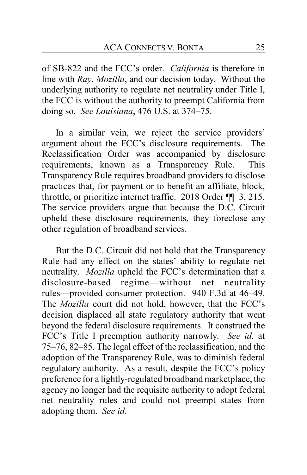of SB-822 and the FCC's order. *California* is therefore in line with *Ray*, *Mozilla*, and our decision today. Without the underlying authority to regulate net neutrality under Title I, the FCC is without the authority to preempt California from doing so. *See Louisiana*, 476 U.S. at 374–75.

In a similar vein, we reject the service providers' argument about the FCC's disclosure requirements. The Reclassification Order was accompanied by disclosure requirements, known as a Transparency Rule. This Transparency Rule requires broadband providers to disclose practices that, for payment or to benefit an affiliate, block, throttle, or prioritize internet traffic. 2018 Order ¶¶ 3, 215. The service providers argue that because the D.C. Circuit upheld these disclosure requirements, they foreclose any other regulation of broadband services.

But the D.C. Circuit did not hold that the Transparency Rule had any effect on the states' ability to regulate net neutrality. *Mozilla* upheld the FCC's determination that a disclosure-based regime—without net neutrality rules—provided consumer protection. 940 F.3d at 46–49. The *Mozilla* court did not hold, however, that the FCC's decision displaced all state regulatory authority that went beyond the federal disclosure requirements. It construed the FCC's Title I preemption authority narrowly. *See id*. at 75–76, 82–85. The legal effect of the reclassification, and the adoption of the Transparency Rule, was to diminish federal regulatory authority. As a result, despite the FCC's policy preference for a lightly-regulated broadband marketplace, the agency no longer had the requisite authority to adopt federal net neutrality rules and could not preempt states from adopting them. *See id*.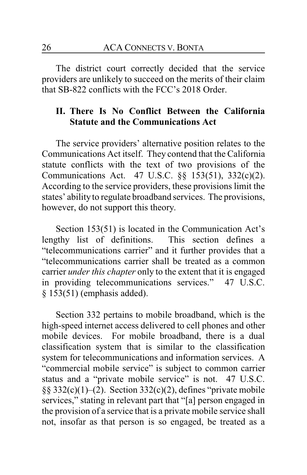The district court correctly decided that the service providers are unlikely to succeed on the merits of their claim that SB-822 conflicts with the FCC's 2018 Order.

## **II. There Is No Conflict Between the California Statute and the Communications Act**

The service providers' alternative position relates to the Communications Act itself. They contend that the California statute conflicts with the text of two provisions of the Communications Act. 47 U.S.C. §§ 153(51), 332(c)(2). According to the service providers, these provisions limit the states' ability to regulate broadband services. The provisions, however, do not support this theory.

Section 153(51) is located in the Communication Act's lengthy list of definitions. This section defines a "telecommunications carrier" and it further provides that a "telecommunications carrier shall be treated as a common carrier *under this chapter* only to the extent that it is engaged in providing telecommunications services." 47 U.S.C. § 153(51) (emphasis added).

Section 332 pertains to mobile broadband, which is the high-speed internet access delivered to cell phones and other mobile devices. For mobile broadband, there is a dual classification system that is similar to the classification system for telecommunications and information services. A "commercial mobile service" is subject to common carrier status and a "private mobile service" is not. 47 U.S.C. §§ 332(c)(1)–(2). Section 332(c)(2), defines "private mobile services," stating in relevant part that "[a] person engaged in the provision of a service that is a private mobile service shall not, insofar as that person is so engaged, be treated as a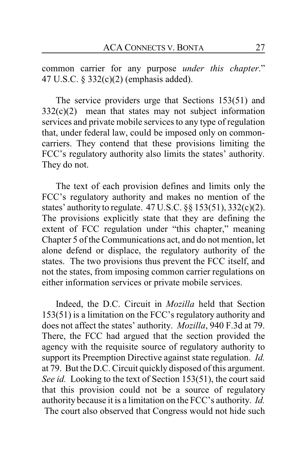common carrier for any purpose *under this chapter*." 47 U.S.C. § 332(c)(2) (emphasis added).

The service providers urge that Sections 153(51) and  $332(c)(2)$  mean that states may not subject information services and private mobile services to any type of regulation that, under federal law, could be imposed only on commoncarriers. They contend that these provisions limiting the FCC's regulatory authority also limits the states' authority. They do not.

The text of each provision defines and limits only the FCC's regulatory authority and makes no mention of the states' authority to regulate.  $47 \text{ U.S.C.}$  §§  $153(51)$ ,  $332(c)(2)$ . The provisions explicitly state that they are defining the extent of FCC regulation under "this chapter," meaning Chapter 5 of the Communications act, and do not mention, let alone defend or displace, the regulatory authority of the states. The two provisions thus prevent the FCC itself, and not the states, from imposing common carrier regulations on either information services or private mobile services.

Indeed, the D.C. Circuit in *Mozilla* held that Section 153(51) is a limitation on the FCC's regulatory authority and does not affect the states' authority. *Mozilla*, 940 F.3d at 79. There, the FCC had argued that the section provided the agency with the requisite source of regulatory authority to support its Preemption Directive against state regulation. *Id.* at 79. But the D.C. Circuit quickly disposed of this argument. *See id.* Looking to the text of Section 153(51), the court said that this provision could not be a source of regulatory authority because it is a limitation on the FCC's authority. *Id.* The court also observed that Congress would not hide such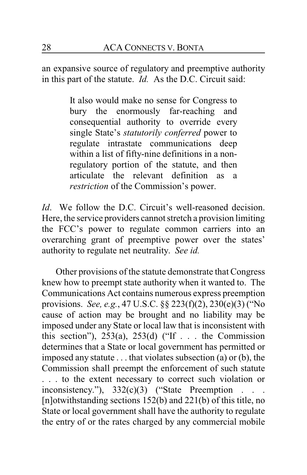an expansive source of regulatory and preemptive authority in this part of the statute. *Id.* As the D.C. Circuit said:

> It also would make no sense for Congress to bury the enormously far-reaching and consequential authority to override every single State's *statutorily conferred* power to regulate intrastate communications deep within a list of fifty-nine definitions in a nonregulatory portion of the statute, and then articulate the relevant definition as a *restriction* of the Commission's power.

*Id.* We follow the D.C. Circuit's well-reasoned decision. Here, the service providers cannot stretch a provision limiting the FCC's power to regulate common carriers into an overarching grant of preemptive power over the states' authority to regulate net neutrality. *See id.*

Other provisions of the statute demonstrate that Congress knew how to preempt state authority when it wanted to. The Communications Act contains numerous express preemption provisions. *See, e.g.*, 47 U.S.C. §§ 223(f)(2), 230(e)(3) ("No cause of action may be brought and no liability may be imposed under any State or local law that is inconsistent with this section"),  $253(a)$ ,  $253(d)$  ("If . . . the Commission determines that a State or local government has permitted or imposed any statute . . . that violates subsection (a) or (b), the Commission shall preempt the enforcement of such statute . . . to the extent necessary to correct such violation or inconsistency."),  $332(c)(3)$  ("State Preemption [n]otwithstanding sections 152(b) and 221(b) of this title, no State or local government shall have the authority to regulate the entry of or the rates charged by any commercial mobile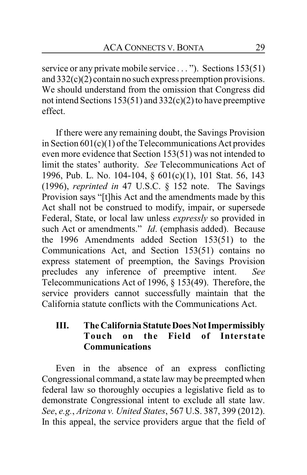service or any private mobile service . . . "). Sections 153(51) and 332(c)(2) contain no such express preemption provisions. We should understand from the omission that Congress did not intend Sections 153(51) and 332(c)(2) to have preemptive effect.

If there were any remaining doubt, the Savings Provision in Section 601(c)(1) of the Telecommunications Act provides even more evidence that Section 153(51) was not intended to limit the states' authority. *See* Telecommunications Act of 1996, Pub. L. No. 104-104, § 601(c)(1), 101 Stat. 56, 143 (1996), *reprinted in* 47 U.S.C. § 152 note. The Savings Provision says "[t]his Act and the amendments made by this Act shall not be construed to modify, impair, or supersede Federal, State, or local law unless *expressly* so provided in such Act or amendments." *Id*. (emphasis added). Because the 1996 Amendments added Section 153(51) to the Communications Act, and Section 153(51) contains no express statement of preemption, the Savings Provision precludes any inference of preemptive intent. *See* Telecommunications Act of 1996, § 153(49). Therefore, the service providers cannot successfully maintain that the California statute conflicts with the Communications Act.

## **III.** The California Statute Does Not Impermissibly **Touch on the Field of Interstate Communications**

Even in the absence of an express conflicting Congressional command, a state law may be preempted when federal law so thoroughly occupies a legislative field as to demonstrate Congressional intent to exclude all state law. *See*, *e.g.*, *Arizona v. United States*, 567 U.S. 387, 399 (2012). In this appeal, the service providers argue that the field of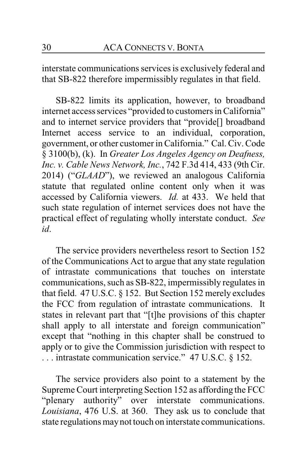interstate communications services is exclusively federal and that SB-822 therefore impermissibly regulates in that field.

SB-822 limits its application, however, to broadband internet access services "provided to customers in California" and to internet service providers that "provide[] broadband Internet access service to an individual, corporation, government, or other customer in California." Cal. Civ. Code § 3100(b), (k). In *Greater Los Angeles Agency on Deafness, Inc. v. Cable News Network, Inc.*, 742 F.3d 414, 433 (9th Cir. 2014) ("*GLAAD*"), we reviewed an analogous California statute that regulated online content only when it was accessed by California viewers. *Id.* at 433. We held that such state regulation of internet services does not have the practical effect of regulating wholly interstate conduct. *See id*.

The service providers nevertheless resort to Section 152 of the Communications Act to argue that any state regulation of intrastate communications that touches on interstate communications, such as SB-822, impermissibly regulates in that field. 47 U.S.C. § 152. But Section 152 merely excludes the FCC from regulation of intrastate communications. It states in relevant part that "[t]he provisions of this chapter shall apply to all interstate and foreign communication" except that "nothing in this chapter shall be construed to apply or to give the Commission jurisdiction with respect to . . . intrastate communication service." 47 U.S.C. § 152.

The service providers also point to a statement by the Supreme Court interpreting Section 152 as affording the FCC "plenary authority" over interstate communications. *Louisiana*, 476 U.S. at 360. They ask us to conclude that state regulations maynot touch on interstate communications.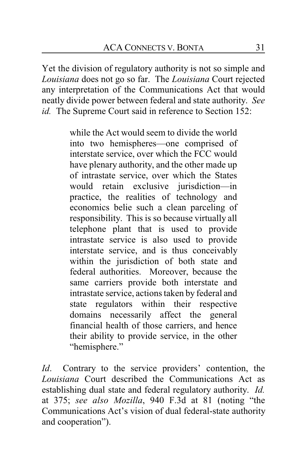Yet the division of regulatory authority is not so simple and *Louisiana* does not go so far. The *Louisiana* Court rejected any interpretation of the Communications Act that would neatly divide power between federal and state authority. *See id.* The Supreme Court said in reference to Section 152:

> while the Act would seem to divide the world into two hemispheres—one comprised of interstate service, over which the FCC would have plenary authority, and the other made up of intrastate service, over which the States would retain exclusive jurisdiction—in practice, the realities of technology and economics belie such a clean parceling of responsibility. This is so because virtually all telephone plant that is used to provide intrastate service is also used to provide interstate service, and is thus conceivably within the jurisdiction of both state and federal authorities. Moreover, because the same carriers provide both interstate and intrastate service, actions taken by federal and state regulators within their respective domains necessarily affect the general financial health of those carriers, and hence their ability to provide service, in the other "hemisphere."

*Id*. Contrary to the service providers' contention, the *Louisiana* Court described the Communications Act as establishing dual state and federal regulatory authority. *Id.* at 375; *see also Mozilla*, 940 F.3d at 81 (noting "the Communications Act's vision of dual federal-state authority and cooperation").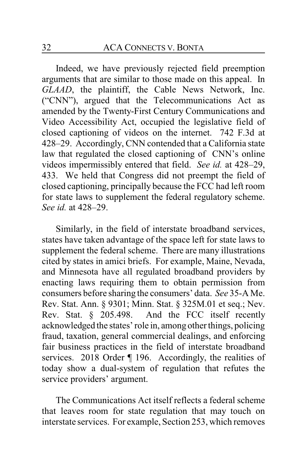Indeed, we have previously rejected field preemption arguments that are similar to those made on this appeal. In *GLAAD*, the plaintiff, the Cable News Network, Inc. ("CNN"), argued that the Telecommunications Act as amended by the Twenty-First Century Communications and Video Accessibility Act, occupied the legislative field of closed captioning of videos on the internet. 742 F.3d at 428–29. Accordingly, CNN contended that a California state law that regulated the closed captioning of CNN's online videos impermissibly entered that field. *See id.* at 428–29, 433. We held that Congress did not preempt the field of closed captioning, principally because the FCC had left room for state laws to supplement the federal regulatory scheme. *See id.* at 428–29.

Similarly, in the field of interstate broadband services, states have taken advantage of the space left for state laws to supplement the federal scheme. There are many illustrations cited by states in amici briefs. For example, Maine, Nevada, and Minnesota have all regulated broadband providers by enacting laws requiring them to obtain permission from consumers before sharing the consumers' data. *See* 35-A Me. Rev. Stat. Ann. § 9301; Minn. Stat. § 325M.01 et seq.; Nev. Rev. Stat. § 205.498. And the FCC itself recently acknowledged the states' role in, among other things, policing fraud, taxation, general commercial dealings, and enforcing fair business practices in the field of interstate broadband services. 2018 Order ¶ 196. Accordingly, the realities of today show a dual-system of regulation that refutes the service providers' argument.

The Communications Act itself reflects a federal scheme that leaves room for state regulation that may touch on interstate services. For example, Section 253, which removes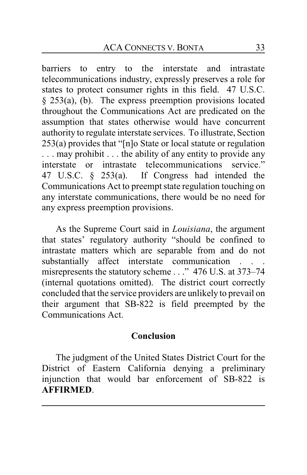barriers to entry to the interstate and intrastate telecommunications industry, expressly preserves a role for states to protect consumer rights in this field. 47 U.S.C. § 253(a), (b). The express preemption provisions located throughout the Communications Act are predicated on the assumption that states otherwise would have concurrent authority to regulate interstate services. To illustrate, Section 253(a) provides that "[n]o State or local statute or regulation . . . may prohibit . . . the ability of any entity to provide any interstate or intrastate telecommunications service." 47 U.S.C. § 253(a). If Congress had intended the Communications Act to preempt state regulation touching on any interstate communications, there would be no need for any express preemption provisions.

As the Supreme Court said in *Louisiana*, the argument that states' regulatory authority "should be confined to intrastate matters which are separable from and do not substantially affect interstate communication . . . misrepresents the statutory scheme . . ." 476 U.S. at 373–74 (internal quotations omitted). The district court correctly concluded that the service providers are unlikely to prevail on their argument that SB-822 is field preempted by the Communications Act.

## **Conclusion**

The judgment of the United States District Court for the District of Eastern California denying a preliminary injunction that would bar enforcement of SB-822 is **AFFIRMED**.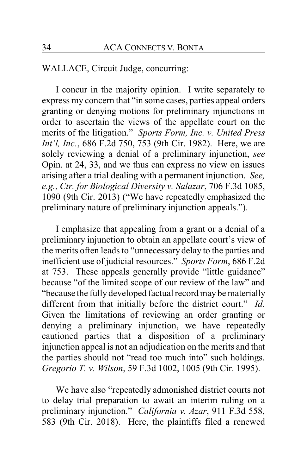WALLACE, Circuit Judge, concurring:

I concur in the majority opinion. I write separately to express my concern that "in some cases, parties appeal orders granting or denying motions for preliminary injunctions in order to ascertain the views of the appellate court on the merits of the litigation." *Sports Form, Inc. v. United Press Int'l, Inc.*, 686 F.2d 750, 753 (9th Cir. 1982). Here, we are solely reviewing a denial of a preliminary injunction, *see* Opin. at 24, 33, and we thus can express no view on issues arising after a trial dealing with a permanent injunction. *See, e.g.*, *Ctr. for Biological Diversity v. Salazar*, 706 F.3d 1085, 1090 (9th Cir. 2013) ("We have repeatedly emphasized the preliminary nature of preliminary injunction appeals.").

I emphasize that appealing from a grant or a denial of a preliminary injunction to obtain an appellate court's view of the merits often leads to "unnecessary delay to the parties and inefficient use of judicial resources." *Sports Form*, 686 F.2d at 753. These appeals generally provide "little guidance" because "of the limited scope of our review of the law" and "because the fully developed factual record may be materially different from that initially before the district court." *Id*. Given the limitations of reviewing an order granting or denying a preliminary injunction, we have repeatedly cautioned parties that a disposition of a preliminary injunction appeal is not an adjudication on the merits and that the parties should not "read too much into" such holdings. *Gregorio T. v. Wilson*, 59 F.3d 1002, 1005 (9th Cir. 1995).

We have also "repeatedly admonished district courts not to delay trial preparation to await an interim ruling on a preliminary injunction." *California v. Azar*, 911 F.3d 558, 583 (9th Cir. 2018). Here, the plaintiffs filed a renewed